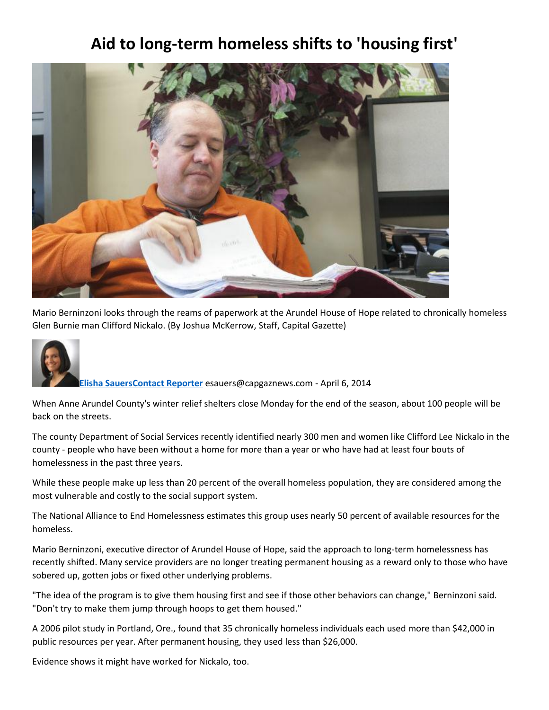## **Aid to long-term homeless shifts to 'housing first'**



Mario Berninzoni looks through the reams of paperwork at the Arundel House of Hope related to chronically homeless Glen Burnie man Clifford Nickalo. (By Joshua McKerrow, Staff, Capital Gazette)



**[Elisha Sauers](https://www.capitalgazette.com/cgnews-elisha-sauers-20150512-staff.html#nt=byline)[Contact Reporter](mailto:esauers@capgaznews.com?subject=Regarding:%20%27Aid%20to%20long-term%20homeless%20shifts%20to%20%27housing%20first%27%27)** esauers@capgaznews.com - April 6, 2014

When Anne Arundel County's winter relief shelters close Monday for the end of the season, about 100 people will be back on the streets.

The county Department of Social Services recently identified nearly 300 men and women like Clifford Lee Nickalo in the county - people who have been without a home for more than a year or who have had at least four bouts of homelessness in the past three years.

While these people make up less than 20 percent of the overall homeless population, they are considered among the most vulnerable and costly to the social support system.

The National Alliance to End Homelessness estimates this group uses nearly 50 percent of available resources for the homeless.

Mario Berninzoni, executive director of Arundel House of Hope, said the approach to long-term homelessness has recently shifted. Many service providers are no longer treating permanent housing as a reward only to those who have sobered up, gotten jobs or fixed other underlying problems.

"The idea of the program is to give them housing first and see if those other behaviors can change," Berninzoni said. "Don't try to make them jump through hoops to get them housed."

A 2006 pilot study in Portland, Ore., found that 35 chronically homeless individuals each used more than \$42,000 in public resources per year. After permanent housing, they used less than \$26,000.

Evidence shows it might have worked for Nickalo, too.